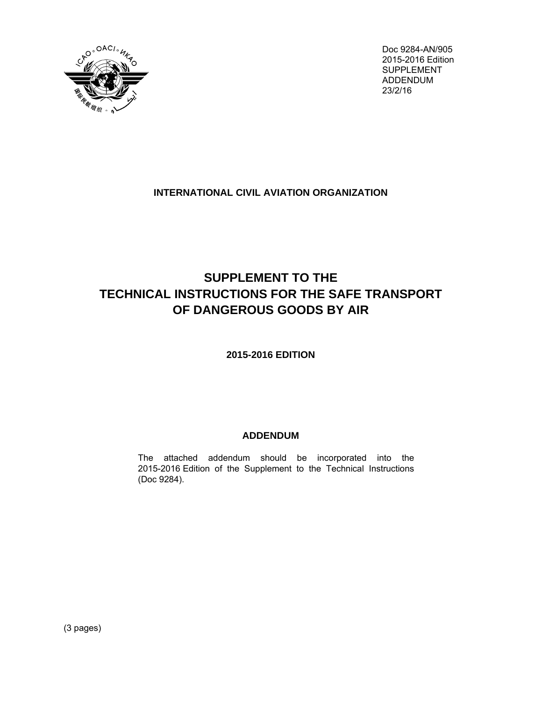

Doc 9284-AN/905 2015-2016 Edition SUPPLEMENT ADDENDUM 23/2/16

## **INTERNATIONAL CIVIL AVIATION ORGANIZATION**

# **SUPPLEMENT TO THE TECHNICAL INSTRUCTIONS FOR THE SAFE TRANSPORT OF DANGEROUS GOODS BY AIR**

## **2015-2016 EDITION**

## **ADDENDUM**

The attached addendum should be incorporated into the 2015-2016 Edition of the Supplement to the Technical Instructions (Doc 9284).

(3 pages)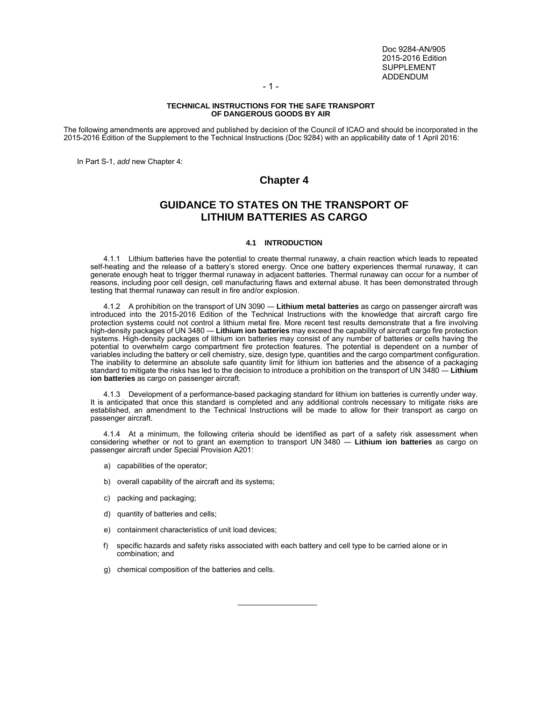Doc 9284-AN/905 2015-2016 Edition SUPPLEMENT ADDENDUM

- 1 -

#### **TECHNICAL INSTRUCTIONS FOR THE SAFE TRANSPORT OF DANGEROUS GOODS BY AIR**

The following amendments are approved and published by decision of the Council of ICAO and should be incorporated in the 2015-2016 Edition of the Supplement to the Technical Instructions (Doc 9284) with an applicability date of 1 April 2016:

In Part S-1, *add* new Chapter 4:

### **Chapter 4**

### **GUIDANCE TO STATES ON THE TRANSPORT OF LITHIUM BATTERIES AS CARGO**

#### **4.1 INTRODUCTION**

 4.1.1 Lithium batteries have the potential to create thermal runaway, a chain reaction which leads to repeated self-heating and the release of a battery's stored energy. Once one battery experiences thermal runaway, it can generate enough heat to trigger thermal runaway in adjacent batteries. Thermal runaway can occur for a number of reasons, including poor cell design, cell manufacturing flaws and external abuse. It has been demonstrated through testing that thermal runaway can result in fire and/or explosion.

 4.1.2 A prohibition on the transport of UN 3090 ― **Lithium metal batteries** as cargo on passenger aircraft was introduced into the 2015-2016 Edition of the Technical Instructions with the knowledge that aircraft cargo fire protection systems could not control a lithium metal fire. More recent test results demonstrate that a fire involving high-density packages of UN 3480 ― **Lithium ion batteries** may exceed the capability of aircraft cargo fire protection systems. High-density packages of lithium ion batteries may consist of any number of batteries or cells having the potential to overwhelm cargo compartment fire protection features. The potential is dependent on a number of variables including the battery or cell chemistry, size, design type, quantities and the cargo compartment configuration. The inability to determine an absolute safe quantity limit for lithium ion batteries and the absence of a packaging standard to mitigate the risks has led to the decision to introduce a prohibition on the transport of UN 3480 ― **Lithium ion batteries** as cargo on passenger aircraft.

 4.1.3 Development of a performance-based packaging standard for lithium ion batteries is currently under way. It is anticipated that once this standard is completed and any additional controls necessary to mitigate risks are established, an amendment to the Technical Instructions will be made to allow for their transport as cargo on passenger aircraft.

 4.1.4 At a minimum, the following criteria should be identified as part of a safety risk assessment when considering whether or not to grant an exemption to transport UN 3480 ― **Lithium ion batteries** as cargo on passenger aircraft under Special Provision A201:

- a) capabilities of the operator;
- b) overall capability of the aircraft and its systems;
- c) packing and packaging;
- d) quantity of batteries and cells;
- e) containment characteristics of unit load devices;
- f) specific hazards and safety risks associated with each battery and cell type to be carried alone or in combination; and

\_\_\_\_\_\_\_\_\_\_\_\_\_\_\_\_\_\_\_

g) chemical composition of the batteries and cells.